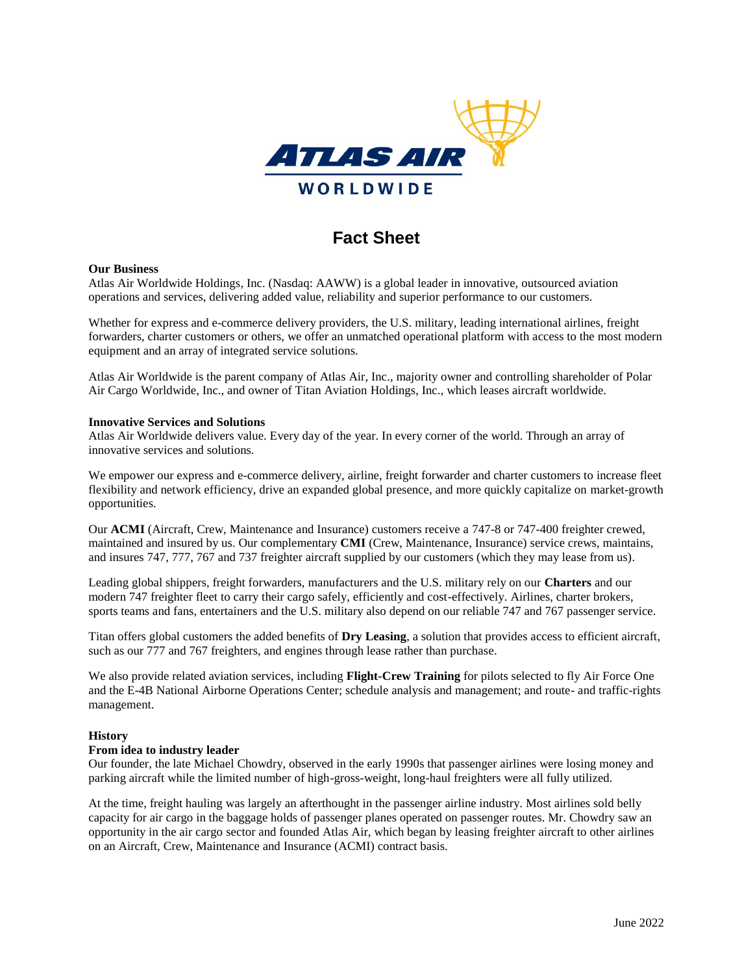

# **Fact Sheet**

### **Our Business**

Atlas Air Worldwide Holdings, Inc. (Nasdaq: AAWW) is a global leader in innovative, outsourced aviation operations and services, delivering added value, reliability and superior performance to our customers.

Whether for express and e-commerce delivery providers, the U.S. military, leading international airlines, freight forwarders, charter customers or others, we offer an unmatched operational platform with access to the most modern equipment and an array of integrated service solutions.

Atlas Air Worldwide is the parent company of Atlas Air, Inc., majority owner and controlling shareholder of Polar Air Cargo Worldwide, Inc., and owner of Titan Aviation Holdings, Inc., which leases aircraft worldwide.

### **Innovative Services and Solutions**

Atlas Air Worldwide delivers value. Every day of the year. In every corner of the world. Through an array of innovative services and solutions.

We empower our express and e-commerce delivery, airline, freight forwarder and charter customers to increase fleet flexibility and network efficiency, drive an expanded global presence, and more quickly capitalize on market-growth opportunities.

Our **ACMI** (Aircraft, Crew, Maintenance and Insurance) customers receive a 747-8 or 747-400 freighter crewed, maintained and insured by us. Our complementary **CMI** (Crew, Maintenance, Insurance) service crews, maintains, and insures 747, 777, 767 and 737 freighter aircraft supplied by our customers (which they may lease from us).

Leading global shippers, freight forwarders, manufacturers and the U.S. military rely on our **Charters** and our modern 747 freighter fleet to carry their cargo safely, efficiently and cost-effectively. Airlines, charter brokers, sports teams and fans, entertainers and the U.S. military also depend on our reliable 747 and 767 passenger service.

Titan offers global customers the added benefits of **Dry Leasing**, a solution that provides access to efficient aircraft, such as our 777 and 767 freighters, and engines through lease rather than purchase.

We also provide related aviation services, including **Flight-Crew Training** for pilots selected to fly Air Force One and the E-4B National Airborne Operations Center; schedule analysis and management; and route- and traffic-rights management.

# **History**

### **From idea to industry leader**

Our founder, the late Michael Chowdry, observed in the early 1990s that passenger airlines were losing money and parking aircraft while the limited number of high-gross-weight, long-haul freighters were all fully utilized.

At the time, freight hauling was largely an afterthought in the passenger airline industry. Most airlines sold belly capacity for air cargo in the baggage holds of passenger planes operated on passenger routes. Mr. Chowdry saw an opportunity in the air cargo sector and founded Atlas Air, which began by leasing freighter aircraft to other airlines on an Aircraft, Crew, Maintenance and Insurance (ACMI) contract basis.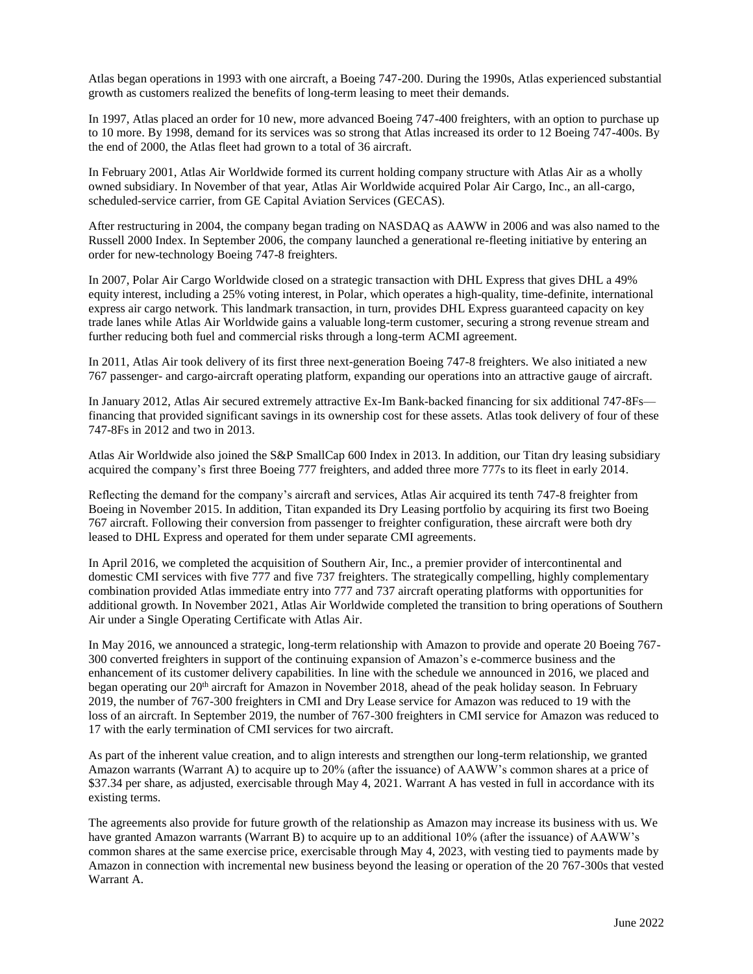Atlas began operations in 1993 with one aircraft, a Boeing 747-200. During the 1990s, Atlas experienced substantial growth as customers realized the benefits of long-term leasing to meet their demands.

In 1997, Atlas placed an order for 10 new, more advanced Boeing 747-400 freighters, with an option to purchase up to 10 more. By 1998, demand for its services was so strong that Atlas increased its order to 12 Boeing 747-400s. By the end of 2000, the Atlas fleet had grown to a total of 36 aircraft.

In February 2001, Atlas Air Worldwide formed its current holding company structure with Atlas Air as a wholly owned subsidiary. In November of that year, Atlas Air Worldwide acquired Polar Air Cargo, Inc., an all-cargo, scheduled-service carrier, from GE Capital Aviation Services (GECAS).

After restructuring in 2004, the company began trading on NASDAQ as AAWW in 2006 and was also named to the Russell 2000 Index. In September 2006, the company launched a generational re-fleeting initiative by entering an order for new-technology Boeing 747-8 freighters.

In 2007, Polar Air Cargo Worldwide closed on a strategic transaction with DHL Express that gives DHL a 49% equity interest, including a 25% voting interest, in Polar, which operates a high-quality, time-definite, international express air cargo network. This landmark transaction, in turn, provides DHL Express guaranteed capacity on key trade lanes while Atlas Air Worldwide gains a valuable long-term customer, securing a strong revenue stream and further reducing both fuel and commercial risks through a long-term ACMI agreement.

In 2011, Atlas Air took delivery of its first three next-generation Boeing 747-8 freighters. We also initiated a new 767 passenger- and cargo-aircraft operating platform, expanding our operations into an attractive gauge of aircraft.

In January 2012, Atlas Air secured extremely attractive Ex-Im Bank-backed financing for six additional 747-8Fs financing that provided significant savings in its ownership cost for these assets. Atlas took delivery of four of these 747-8Fs in 2012 and two in 2013.

Atlas Air Worldwide also joined the S&P SmallCap 600 Index in 2013. In addition, our Titan dry leasing subsidiary acquired the company's first three Boeing 777 freighters, and added three more 777s to its fleet in early 2014.

Reflecting the demand for the company's aircraft and services, Atlas Air acquired its tenth 747-8 freighter from Boeing in November 2015. In addition, Titan expanded its Dry Leasing portfolio by acquiring its first two Boeing 767 aircraft. Following their conversion from passenger to freighter configuration, these aircraft were both dry leased to DHL Express and operated for them under separate CMI agreements.

In April 2016, we completed the acquisition of Southern Air, Inc., a premier provider of intercontinental and domestic CMI services with five 777 and five 737 freighters. The strategically compelling, highly complementary combination provided Atlas immediate entry into 777 and 737 aircraft operating platforms with opportunities for additional growth. In November 2021, Atlas Air Worldwide completed the transition to bring operations of Southern Air under a Single Operating Certificate with Atlas Air.

In May 2016, we announced a strategic, long-term relationship with Amazon to provide and operate 20 Boeing 767- 300 converted freighters in support of the continuing expansion of Amazon's e-commerce business and the enhancement of its customer delivery capabilities. In line with the schedule we announced in 2016, we placed and began operating our 20<sup>th</sup> aircraft for Amazon in November 2018, ahead of the peak holiday season. In February 2019, the number of 767-300 freighters in CMI and Dry Lease service for Amazon was reduced to 19 with the loss of an aircraft. In September 2019, the number of 767-300 freighters in CMI service for Amazon was reduced to 17 with the early termination of CMI services for two aircraft.

As part of the inherent value creation, and to align interests and strengthen our long-term relationship, we granted Amazon warrants (Warrant A) to acquire up to 20% (after the issuance) of AAWW's common shares at a price of \$37.34 per share, as adjusted, exercisable through May 4, 2021. Warrant A has vested in full in accordance with its existing terms.

The agreements also provide for future growth of the relationship as Amazon may increase its business with us. We have granted Amazon warrants (Warrant B) to acquire up to an additional 10% (after the issuance) of AAWW's common shares at the same exercise price, exercisable through May 4, 2023, with vesting tied to payments made by Amazon in connection with incremental new business beyond the leasing or operation of the 20 767-300s that vested Warrant A.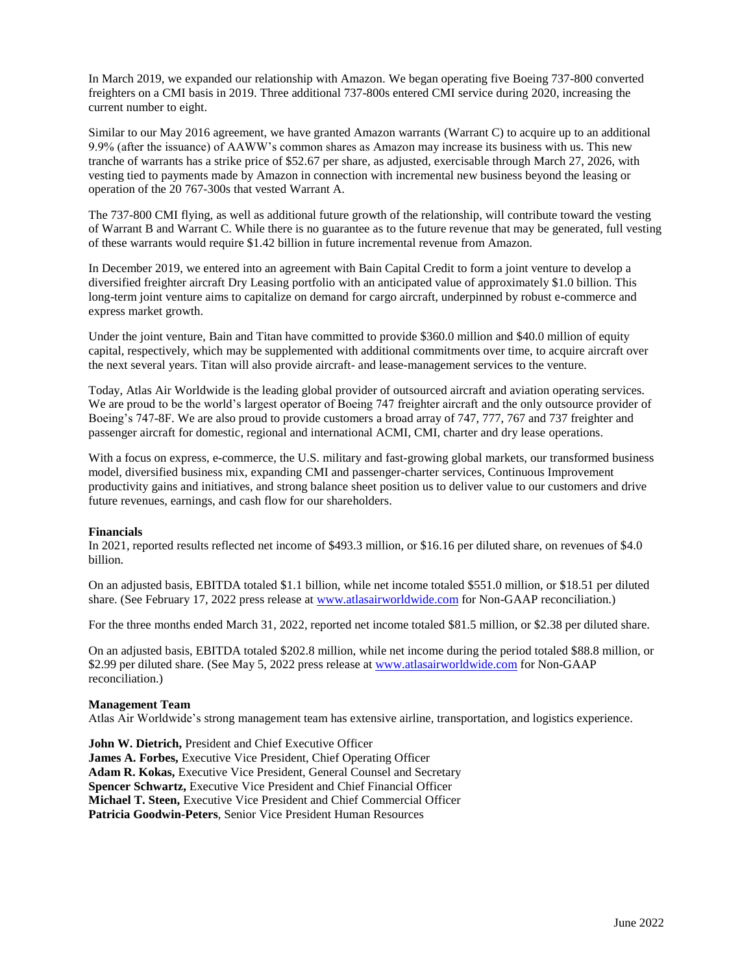In March 2019, we expanded our relationship with Amazon. We began operating five Boeing 737-800 converted freighters on a CMI basis in 2019. Three additional 737-800s entered CMI service during 2020, increasing the current number to eight.

Similar to our May 2016 agreement, we have granted Amazon warrants (Warrant C) to acquire up to an additional 9.9% (after the issuance) of AAWW's common shares as Amazon may increase its business with us. This new tranche of warrants has a strike price of \$52.67 per share, as adjusted, exercisable through March 27, 2026, with vesting tied to payments made by Amazon in connection with incremental new business beyond the leasing or operation of the 20 767-300s that vested Warrant A.

The 737-800 CMI flying, as well as additional future growth of the relationship, will contribute toward the vesting of Warrant B and Warrant C. While there is no guarantee as to the future revenue that may be generated, full vesting of these warrants would require \$1.42 billion in future incremental revenue from Amazon.

In December 2019, we entered into an agreement with Bain Capital Credit to form a joint venture to develop a diversified freighter aircraft Dry Leasing portfolio with an anticipated value of approximately \$1.0 billion. This long-term joint venture aims to capitalize on demand for cargo aircraft, underpinned by robust e-commerce and express market growth.

Under the joint venture, Bain and Titan have committed to provide \$360.0 million and \$40.0 million of equity capital, respectively, which may be supplemented with additional commitments over time, to acquire aircraft over the next several years. Titan will also provide aircraft- and lease-management services to the venture.

Today, Atlas Air Worldwide is the leading global provider of outsourced aircraft and aviation operating services. We are proud to be the world's largest operator of Boeing 747 freighter aircraft and the only outsource provider of Boeing's 747-8F. We are also proud to provide customers a broad array of 747, 777, 767 and 737 freighter and passenger aircraft for domestic, regional and international ACMI, CMI, charter and dry lease operations.

With a focus on express, e-commerce, the U.S. military and fast-growing global markets, our transformed business model, diversified business mix, expanding CMI and passenger-charter services, Continuous Improvement productivity gains and initiatives, and strong balance sheet position us to deliver value to our customers and drive future revenues, earnings, and cash flow for our shareholders.

# **Financials**

In 2021, reported results reflected net income of \$493.3 million, or \$16.16 per diluted share, on revenues of \$4.0 billion.

On an adjusted basis, EBITDA totaled \$1.1 billion, while net income totaled \$551.0 million, or \$18.51 per diluted share. (See February 17, 2022 press release at [www.atlasairworldwide.com](http://www.atlasairworldwide.com/) for Non-GAAP reconciliation.)

For the three months ended March 31, 2022, reported net income totaled \$81.5 million, or \$2.38 per diluted share.

On an adjusted basis, EBITDA totaled \$202.8 million, while net income during the period totaled \$88.8 million, or \$2.99 per diluted share. (See May 5, 2022 press release at [www.atlasairworldwide.com](http://www.atlasairworldwide.com/) for Non-GAAP reconciliation.)

### **Management Team**

Atlas Air Worldwide's strong management team has extensive airline, transportation, and logistics experience.

**John W. Dietrich,** President and Chief Executive Officer **James A. Forbes,** Executive Vice President, Chief Operating Officer **Adam R. Kokas,** Executive Vice President, General Counsel and Secretary **Spencer Schwartz,** Executive Vice President and Chief Financial Officer **Michael T. Steen,** Executive Vice President and Chief Commercial Officer **Patricia Goodwin-Peters**, Senior Vice President Human Resources